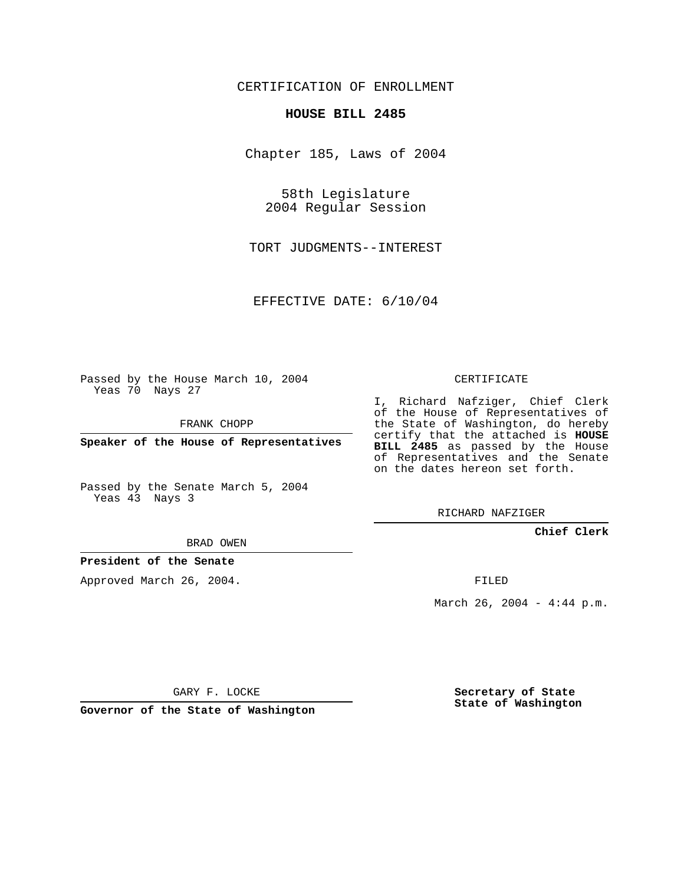## CERTIFICATION OF ENROLLMENT

#### **HOUSE BILL 2485**

Chapter 185, Laws of 2004

58th Legislature 2004 Regular Session

TORT JUDGMENTS--INTEREST

EFFECTIVE DATE: 6/10/04

Passed by the House March 10, 2004 Yeas 70 Nays 27

FRANK CHOPP

**Speaker of the House of Representatives**

Passed by the Senate March 5, 2004 Yeas 43 Nays 3

BRAD OWEN

**President of the Senate**

Approved March 26, 2004.

CERTIFICATE

I, Richard Nafziger, Chief Clerk of the House of Representatives of the State of Washington, do hereby certify that the attached is **HOUSE BILL 2485** as passed by the House of Representatives and the Senate on the dates hereon set forth.

RICHARD NAFZIGER

**Chief Clerk**

FILED

March 26, 2004 -  $4:44$  p.m.

GARY F. LOCKE

**Governor of the State of Washington**

**Secretary of State State of Washington**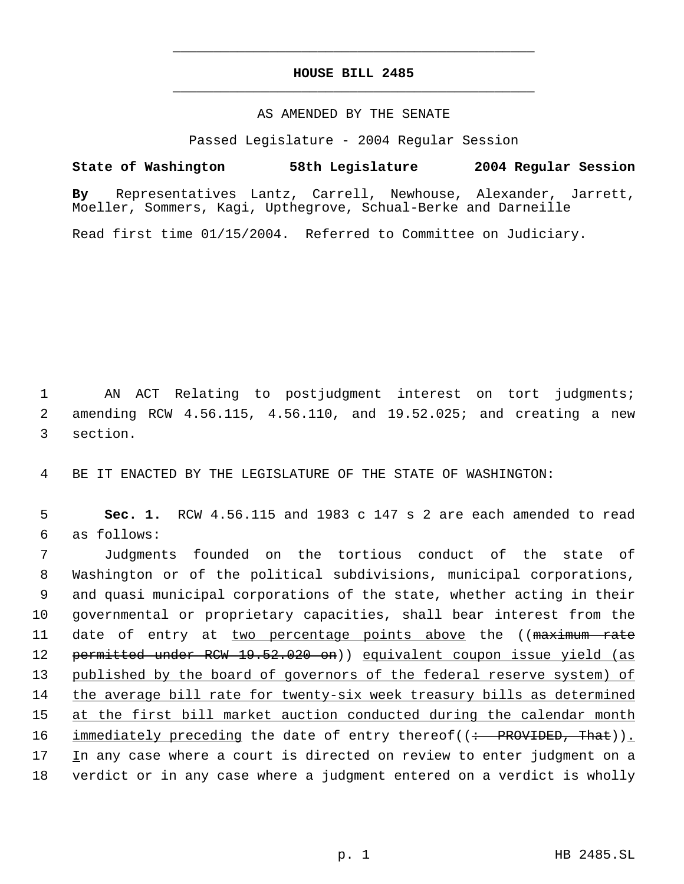# **HOUSE BILL 2485** \_\_\_\_\_\_\_\_\_\_\_\_\_\_\_\_\_\_\_\_\_\_\_\_\_\_\_\_\_\_\_\_\_\_\_\_\_\_\_\_\_\_\_\_\_

\_\_\_\_\_\_\_\_\_\_\_\_\_\_\_\_\_\_\_\_\_\_\_\_\_\_\_\_\_\_\_\_\_\_\_\_\_\_\_\_\_\_\_\_\_

#### AS AMENDED BY THE SENATE

Passed Legislature - 2004 Regular Session

### **State of Washington 58th Legislature 2004 Regular Session**

**By** Representatives Lantz, Carrell, Newhouse, Alexander, Jarrett, Moeller, Sommers, Kagi, Upthegrove, Schual-Berke and Darneille

Read first time 01/15/2004. Referred to Committee on Judiciary.

 1 AN ACT Relating to postjudgment interest on tort judgments; 2 amending RCW 4.56.115, 4.56.110, and 19.52.025; and creating a new 3 section.

4 BE IT ENACTED BY THE LEGISLATURE OF THE STATE OF WASHINGTON:

 5 **Sec. 1.** RCW 4.56.115 and 1983 c 147 s 2 are each amended to read 6 as follows:

 Judgments founded on the tortious conduct of the state of Washington or of the political subdivisions, municipal corporations, and quasi municipal corporations of the state, whether acting in their governmental or proprietary capacities, shall bear interest from the 11 date of entry at two percentage points above the ((maximum rate permitted under RCW 19.52.020 on)) equivalent coupon issue yield (as 13 published by the board of governors of the federal reserve system) of the average bill rate for twenty-six week treasury bills as determined at the first bill market auction conducted during the calendar month 16 immediately preceding the date of entry thereof((: PROVIDED, That)). 17 In any case where a court is directed on review to enter judgment on a verdict or in any case where a judgment entered on a verdict is wholly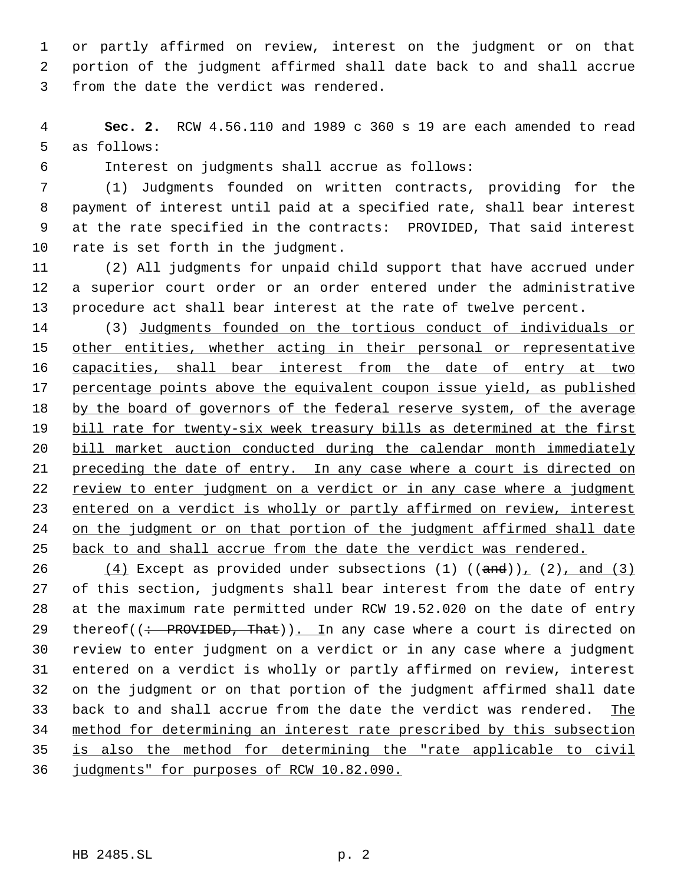or partly affirmed on review, interest on the judgment or on that portion of the judgment affirmed shall date back to and shall accrue from the date the verdict was rendered.

 **Sec. 2.** RCW 4.56.110 and 1989 c 360 s 19 are each amended to read as follows:

Interest on judgments shall accrue as follows:

 (1) Judgments founded on written contracts, providing for the payment of interest until paid at a specified rate, shall bear interest at the rate specified in the contracts: PROVIDED, That said interest rate is set forth in the judgment.

 (2) All judgments for unpaid child support that have accrued under a superior court order or an order entered under the administrative procedure act shall bear interest at the rate of twelve percent.

 (3) Judgments founded on the tortious conduct of individuals or 15 other entities, whether acting in their personal or representative 16 capacities, shall bear interest from the date of entry at two percentage points above the equivalent coupon issue yield, as published by the board of governors of the federal reserve system, of the average 19 bill rate for twenty-six week treasury bills as determined at the first bill market auction conducted during the calendar month immediately preceding the date of entry. In any case where a court is directed on 22 review to enter judgment on a verdict or in any case where a judgment 23 entered on a verdict is wholly or partly affirmed on review, interest on the judgment or on that portion of the judgment affirmed shall date back to and shall accrue from the date the verdict was rendered.

 $(4)$  Except as provided under subsections (1)  $((and))_1$  (2), and (3) of this section, judgments shall bear interest from the date of entry at the maximum rate permitted under RCW 19.52.020 on the date of entry 29 thereof( $\left(\div\right)$  PROVIDED, That)). In any case where a court is directed on review to enter judgment on a verdict or in any case where a judgment entered on a verdict is wholly or partly affirmed on review, interest on the judgment or on that portion of the judgment affirmed shall date back to and shall accrue from the date the verdict was rendered. The method for determining an interest rate prescribed by this subsection is also the method for determining the "rate applicable to civil judgments" for purposes of RCW 10.82.090.